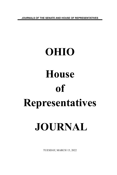**JOURNALS OF THE SENATE AND HOUSE OF REPRESENTATIVES**

# **OHIO House of Representatives JOURNAL**

TUESDAY, MARCH 15, 2022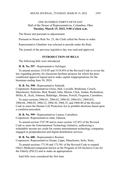# ONE HUNDRED THIRTY-FIFTH DAY Hall of the House of Representatives, Columbus, Ohio **Tuesday, March 15, 2022, 9:00 o'clock a.m.**

The House met pursuant to adjournment.

Pursuant to House Rule No. 23, the Clerk called the House to order.

Representative Ghanbari was selected to preside under the Rule.

The journal of the previous legislative day was read and approved.

# **INTRODUCTION OF BILLS**

The following bills were introduced:

**H. B. No. 597 -** Representative Oelslager.

To amend sections 3318.05 and 3318.054 of the Revised Code to revise the law regarding priority for classroom facilities projects for which the prior conditional approval lapsed and to make capital reappropriations for the biennium ending June 30, 2024.

**H. B. No. 598 -** Representative Schmidt.

Cosponsors: Representatives Gross, Hall, Loychik, Brinkman, Creech, Manchester, Stoltzfus, Bird, Riedel, John, Merrin, Click, Jordan, Richardson, Miller, K., Kick, Johnson, Baldridge, Abrams, Powell, Ferguson, Carruthers.

To enact sections 2904.01, 2904.02, 2904.03, 2904.031, 2904.032, 2904.04, 2904.05, 2904.22, 2904.30, 2904.35, and 2904.40 of the Revised Code to enact the Human Life Protection Act to prohibit abortions based upon a condition precedent.

**H. B. No. 599 -** Representatives Lanese, Carruthers. Cosponsors: Representatives John, Johnson.

To amend section 5747.98 and to enact section 122.852 of the Revised Code to enact the Entertainment Technology Initiative, authorizing a refundable income tax credit for certain entertainment technology companies engaged in postproduction and digital distribution services.

**H. B. No. 600 -** Representative Roemer.

Cosponsors: Representatives Hoops, Lipps, Manchester, Seitz, Stein.

To amend sections 173.50 and 173.501 of the Revised Code to expand Ohio's Medicaid component known as the Program of All-Inclusive Care for the Elderly (PACE) and to make an appropriation.

Said bills were considered the first time.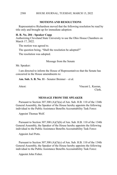# **MOTIONS AND RESOLUTIONS**

Representative Richardson moved that the following resolution be read by title only and brought up for immediate adoption:

#### **H. R. No. 204 - Speaker Cupp**

Authorizing Cleveland State University to use the Ohio House Chambers on March 17, 2022.

The motion was agreed to.

The question being, "Shall the resolution be adopted?"

The resolution was adopted.

Message from the Senate

Mr. Speaker:

I am directed to inform the House of Representatives that the Senate has concurred in the House amendments to:

**Am. Sub. S. B. No. 11** - Senator Brenner – et al.

Attest: Vincent L. Keeran, Clerk.

#### **MESSAGE FROM THE SPEAKER**

Pursuant to Section 307.300 (A)(5)(a) of Am. Sub. H.B. 110 of the 134th General Assembly, the Speaker of the House hereby appoints the following individual to the Public Assistance Benefits Accountability Task Force:

Appoint Thomas Wolf.

Pursuant to Section 307.300 (A)(5)(b) of Am. Sub. H.B. 110 of the 134th General Assembly, the Speaker of the House hereby appoints the following individual to the Public Assistance Benefits Accountability Task Force:

Appoint Joel Potts.

Pursuant to Section 307.300 (A)(5)(c) of Am. Sub. H.B. 110 of the 134th General Assembly, the Speaker of the House hereby appoints the following individual to the Public Assistance Benefits Accountability Task Force:

Appoint John Fisher.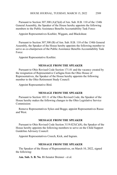Pursuant to Section 307.300 (A)(5)(d) of Am. Sub. H.B. 110 of the 134th General Assembly, the Speaker of the House hereby appoints the following members to the Public Assistance Benefits Accountability Task Force:

Appoint Representatives Koehler, Wiggam, and Blackshear.

Pursuant to Section 307.300 (B) of Am. Sub. H.B. 110 of the 134th General Assembly, the Speaker of the House hereby appoints the following member to serve as co-chairperson of the Public Assistance Benefits Accountability Task Force:

Appoint Representative Koehler.

### **MESSAGE FROM THE SPEAKER**

Pursuant to Ohio Revised Code Section 171.01 and the vacancy created by the resignation of Representative Carfagna from the Ohio House of Representatives, the Speaker of the House hereby appoints the following member to the Ohio Retirement Study Council:

Appoint Representative Bird.

### **MESSAGE FROM THE SPEAKER**

Pursuant to Section 103.11 of the Ohio Revised Code, the Speaker of the House hereby makes the following changes to the Ohio Legislative Service Commission:

Remove Representatives Sykes and Boggs; appoint Representatives Russo and West.

# **MESSAGE FROM THE SPEAKER**

Pursuant to Ohio Revised Code Section 3119.023(C)(8), the Speaker of the House hereby appoints the following members to serve on the Child Support Guideline Advisory Council:

Appoint Representatives Creech, Kick, and Ingram.

# **MESSAGE FROM THE SPEAKER**

The Speaker of the House of Representatives, on March 10, 2022, signed the following:

**Am. Sub. S. B. No. 11**-Senator Brenner - et al.

2589